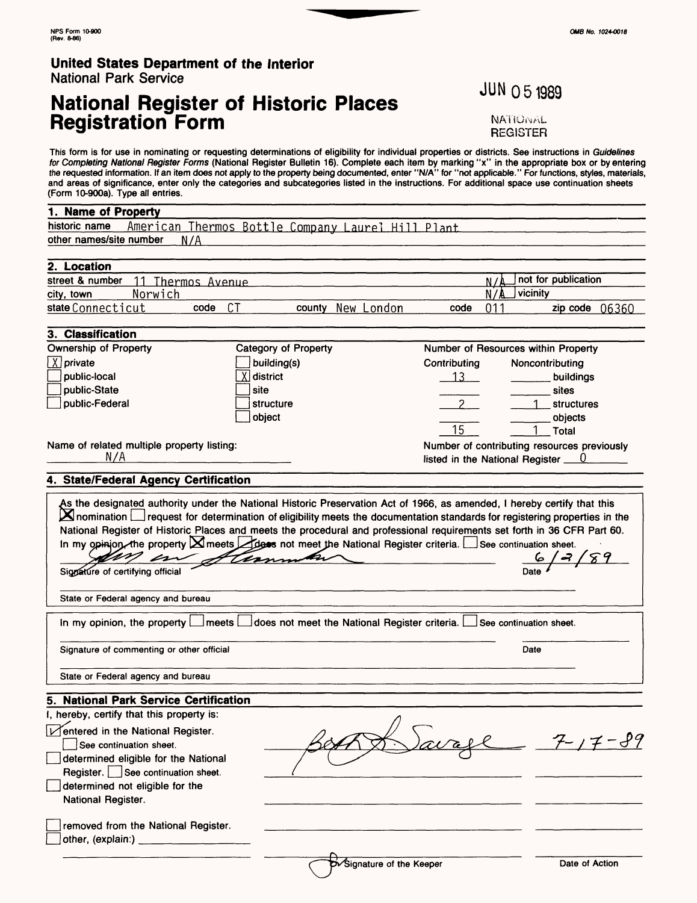## **National Register of Historic Places Registration Form**

**JUN 051989** 

**NATIONAL** REGISTER

This form is for use in nominating or requesting determinations of eligibility for individual properties or districts. See instructions in Guidelines for Completing National Register Forms (National Register Bulletin 16). Complete each item by marking "x" in the appropriate box or by entering the requested information. If an item does not apply to the property being documented, enter "N/A" for "not applicable." For functions, styles, materials, and areas of significance, enter only the categories and subcategories listed in the instructions. For additional space use continuation sheets (Form 10-900a). Type all entries.

#### 1. Name of Property

| historic name           | American Thermos Bottle Company Laurel Hill Plant |  |  |  |  |
|-------------------------|---------------------------------------------------|--|--|--|--|
| other names/site number |                                                   |  |  |  |  |
|                         |                                                   |  |  |  |  |

| 2. Location       |         |        |        |               |      |       |                     |
|-------------------|---------|--------|--------|---------------|------|-------|---------------------|
| street & number   | Thermos | Avenue |        |               |      |       | not for publication |
| city, town        | Norwich |        |        |               |      | 17 A. | vicinity            |
| state Connecticut |         | code   | county | New<br>London | code |       | 06360<br>zip code   |

#### 3. Classification

| <b>Ownership of Property</b>                      | Category of Property |                                                                                | Number of Resources within Property |
|---------------------------------------------------|----------------------|--------------------------------------------------------------------------------|-------------------------------------|
| $\boxed{\chi}$ private                            | building(s)          | Contributing                                                                   | Noncontributing                     |
| public-local                                      | (∣district           |                                                                                | buildings                           |
| public-State                                      | l site               |                                                                                | sites                               |
| public-Federal                                    | i structure          |                                                                                | <b>structures</b>                   |
|                                                   | l obiect             |                                                                                | objects                             |
|                                                   |                      | 15                                                                             | Total                               |
| Name of related multiple property listing:<br>N/A |                      | Number of contributing resources previously<br>listed in the National Register |                                     |

#### **4. State/Federal Agency Certification**

| $\mathbb{Z}$                                                  | As the designated authority under the National Historic Preservation Act of 1966, as amended, I hereby certify that this<br>$\blacktriangleright$ nomination $\sqcup$ request for determination of eligibility meets the documentation standards for registering properties in the<br>National Register of Historic Places and meets the procedural and professional requirements set forth in 36 CFR Part 60.<br>In my opinion, the property $\boxtimes$ meets $\boxtimes$ dess not meet the National Register criteria. $\Box$ See continuation sheet.<br>therman |                         |
|---------------------------------------------------------------|---------------------------------------------------------------------------------------------------------------------------------------------------------------------------------------------------------------------------------------------------------------------------------------------------------------------------------------------------------------------------------------------------------------------------------------------------------------------------------------------------------------------------------------------------------------------|-------------------------|
| Signature of certifying official                              |                                                                                                                                                                                                                                                                                                                                                                                                                                                                                                                                                                     | Date                    |
| State or Federal agency and bureau                            |                                                                                                                                                                                                                                                                                                                                                                                                                                                                                                                                                                     |                         |
| In my opinion, the property [<br>l meets l                    | does not meet the National Register criteria. [                                                                                                                                                                                                                                                                                                                                                                                                                                                                                                                     | See continuation sheet. |
| Signature of commenting or other official                     |                                                                                                                                                                                                                                                                                                                                                                                                                                                                                                                                                                     | Date                    |
| State or Federal agency and bureau                            |                                                                                                                                                                                                                                                                                                                                                                                                                                                                                                                                                                     |                         |
| 5. National Park Service Certification                        |                                                                                                                                                                                                                                                                                                                                                                                                                                                                                                                                                                     |                         |
| I, hereby, certify that this property is:                     |                                                                                                                                                                                                                                                                                                                                                                                                                                                                                                                                                                     |                         |
| Mentered in the National Register.<br>See continuation sheet. |                                                                                                                                                                                                                                                                                                                                                                                                                                                                                                                                                                     | $7 - 1$                 |
| determined eligible for the National                          |                                                                                                                                                                                                                                                                                                                                                                                                                                                                                                                                                                     |                         |
| Register.   See continuation sheet.                           |                                                                                                                                                                                                                                                                                                                                                                                                                                                                                                                                                                     |                         |
| determined not eligible for the<br>National Register.         |                                                                                                                                                                                                                                                                                                                                                                                                                                                                                                                                                                     |                         |
| removed from the National Register.                           |                                                                                                                                                                                                                                                                                                                                                                                                                                                                                                                                                                     |                         |
| other, (explain:) _                                           |                                                                                                                                                                                                                                                                                                                                                                                                                                                                                                                                                                     |                         |
|                                                               | Sy Signature of the Keeper                                                                                                                                                                                                                                                                                                                                                                                                                                                                                                                                          | Date of Action          |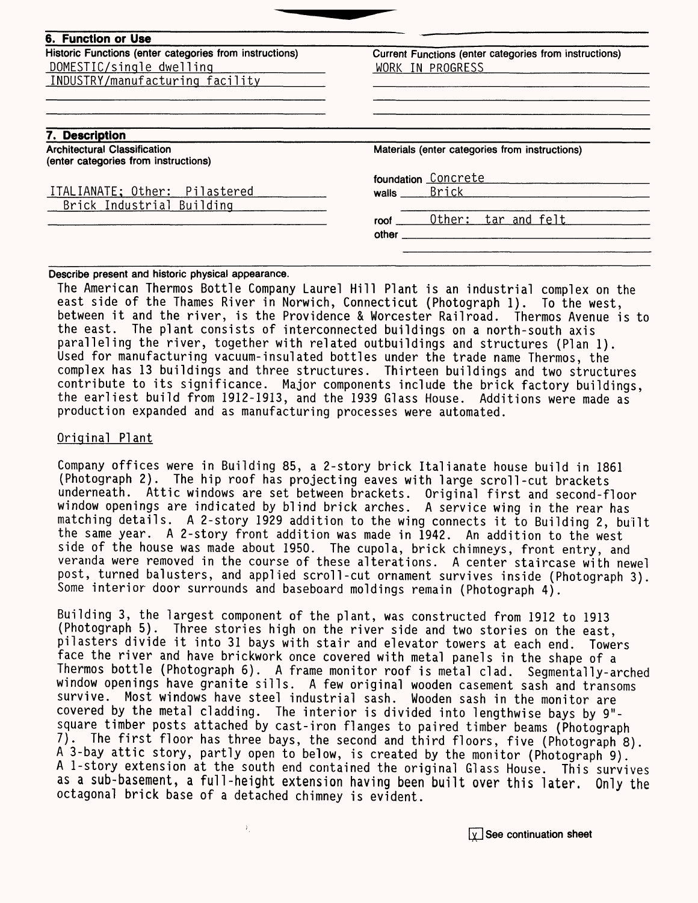| Historic Functions (enter categories from instructions)<br>DOMESTIC/single dwelling<br>INDUSTRY/manufacturing facility | Current Functions (enter categories from instructions)<br>WORK IN PROGRESS              |  |  |
|------------------------------------------------------------------------------------------------------------------------|-----------------------------------------------------------------------------------------|--|--|
| 7. Description<br><b>Architectural Classification</b><br>(enter categories from instructions)                          | Materials (enter categories from instructions)                                          |  |  |
| ITALIANATE; Other: Pilastered<br>Brick Industrial Building                                                             | foundation Concrete<br>Brick<br>walls<br>Other:<br><u>tar and felt</u><br>roof<br>other |  |  |

**Describe present and historic physical appearance.**

The American Thermos Bottle Company Laurel Hill Plant is an industrial complex on the east side of the Thames River in Norwich, Connecticut (Photograph 1). To the west, between it and the river, is the Providence & Worcester Railroad. Thermos Avenue is to the east. The plant consists of interconnected buildings on a north-south axis paralleling the river, together with related outbuildings and structures (Plan 1). Used for manufacturing vacuum-insulated bottles under the trade name Thermos, the complex has 13 buildings and three structures. Thirteen buildings and two structures contribute to its significance. Major components include the brick factory buildings, the earliest build from 1912-1913, and the 1939 Glass House. Additions were made as production expanded and as manufacturing processes were automated.

#### Original Plant

Company offices were in Building 85, a 2-story brick Italianate house build in 1861 (Photograph 2). The hip roof has projecting eaves with large scroll-cut brackets underneath. Attic windows are set between brackets. Original first and second-floor window openings are indicated by blind brick arches. A service wing in the rear has matching details. A 2-story 1929 addition to the wing connects it to Building 2, built the same year. A 2-story front addition was made in 1942. An addition to the west side of the house was made about 1950. The cupola, brick chimneys, front entry, and veranda were removed in the course of these alterations. A center staircase with newel post, turned balusters, and applied scroll-cut ornament survives inside (Photograph 3). Some interior door surrounds and baseboard moldings remain (Photograph 4).

Building 3, the largest component of the plant, was constructed from 1912 to 1913 (Photograph 5). Three stories high on the river side and two stories on the east, pilasters divide it into 31 bays with stair and elevator towers at each end. Towers face the river and have brickwork once covered with metal panels in the shape of a Thermos bottle (Photograph 6). A frame monitor roof is metal clad. Segmentally-arched window openings have granite sills. A few original wooden casement sash and transoms survive. Most windows have steel industrial sash. Wooden sash in the monitor are covered by the metal cladding. The interior is divided into lengthwise bays by 9" square timber posts attached by cast-iron flanges to paired timber beams (Photograph 7). The first floor has three bays, the second and third floors, five (Photograph 8). A 3-bay attic story, partly open to below, is created by the monitor (Photograph 9). A 1-story extension at the south end contained the original Glass House. This survives as a sub-basement, a full-height extension having been built over this later. Only the octagonal brick base of a detached chimney is evident.

 $Y_{\perp}$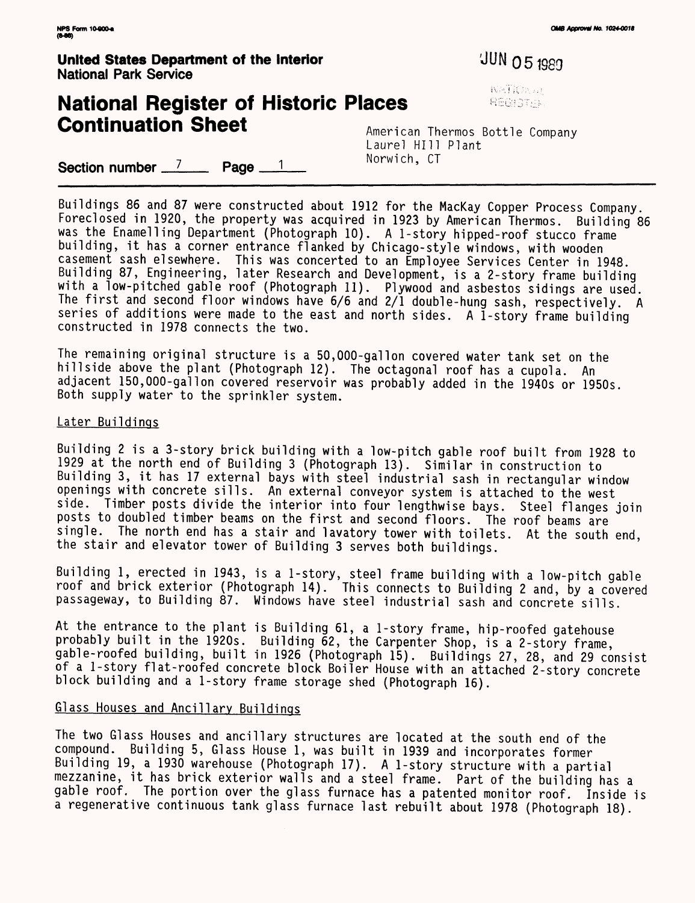**United States Department of the Interior** *JUN O 5***1980** National Park Service

## **National Register of Historic Places Continuation Sheet** American Thermos Bottle Company

**WATKEN AT** REGISTER

Laurel HIll Plant<br>Norwich. CT

Section number  $\frac{7}{2}$  Page  $\frac{1}{2}$ 

Buildings 86 and 87 were constructed about 1912 for the MacKay Copper Process Company. Foreclosed in 1920, the property was acquired in 1923 by American Thermos. Building 86 was the Enamelling Department (Photograph 10). A 1-story hipped-roof stucco frame building, it has a corner entrance flanked by Chicago-style windows, with wooden casement sash elsewhere. This was concerted to an Employee Services Center in 1948. Building 87, Engineering, later Research and Development, is a 2-story frame building with a low-pitched gable roof (Photograph 11). Plywood and asbestos sidings are used. The first and second floor windows have 6/6 and 2/1 double-hung sash, respectively. A series of additions were made to the east and north sides. A  $I$ -story frame building constructed in 1978 connects the two.

The remaining original structure is a 50,000-gallon covered water tank set on the hillside above the plant (Photograph 12). The octagonal roof has a cupola. An adjacent 150,000-gallon covered reservoir was probably added in the 1940s or 1950s. Both supply water to the sprinkler system.

#### Later Buildings

Building 2 is a 3-story brick building with a low-pitch gable roof built from 1928 to 1929 at the north end of Building 3 (Photograph 13). Similar in construction to Building 3, it has 17 external bays with steel industrial sash in rectangular window openings with concrete sills. An external conveyor system is attached to the west side. Timber posts divide the interior into four lengthwise bays. Steel flanges join posts to doubled timber beams on the first and second floors. The roof beams are<br>single. The north end has a stair and lavatory tower with toilets. At the south The north end has a stair and lavatory tower with toilets. At the south end, the stair and elevator tower of Building 3 serves both buildings.

Building 1, erected in 1943, is a 1-story, steel frame building with a low-pitch gable roof and brick exterior (Photograph 14). This connects to Building 2 and, by a covered passageway, to Building 87. Windows have steel industrial sash and concrete sills.

At the entrance to the plant is Building 61, a 1-story frame, hip-roofed gatehouse probably built in the 1920s. Building 62, the Carpenter Shop, is a 2-story frame, gable-roofed building, built in 1926 (Photograph 15). Buildings 27, 28, and 29 consist of a 1-story flat-roofed concrete block Boiler House with an attached 2-story concrete block building and a 1-story frame storage shed (Photograph 16).

#### Glass Houses and Ancillary Buildings

The two Glass Houses and ancillary structures are located at the south end of the compound. Building 5, Glass House 1, was built in 1939 and incorporates former Building 19, a 1930 warehouse (Photograph 17). A 1-story structure with a partial mezzanine, it has brick exterior walls and a steel frame. Part of the building has a gable roof. The portion over the glass furnace has a patented monitor roof. Inside is a regenerative continuous tank glass furnace last rebuilt about 1978 (Photograph 18).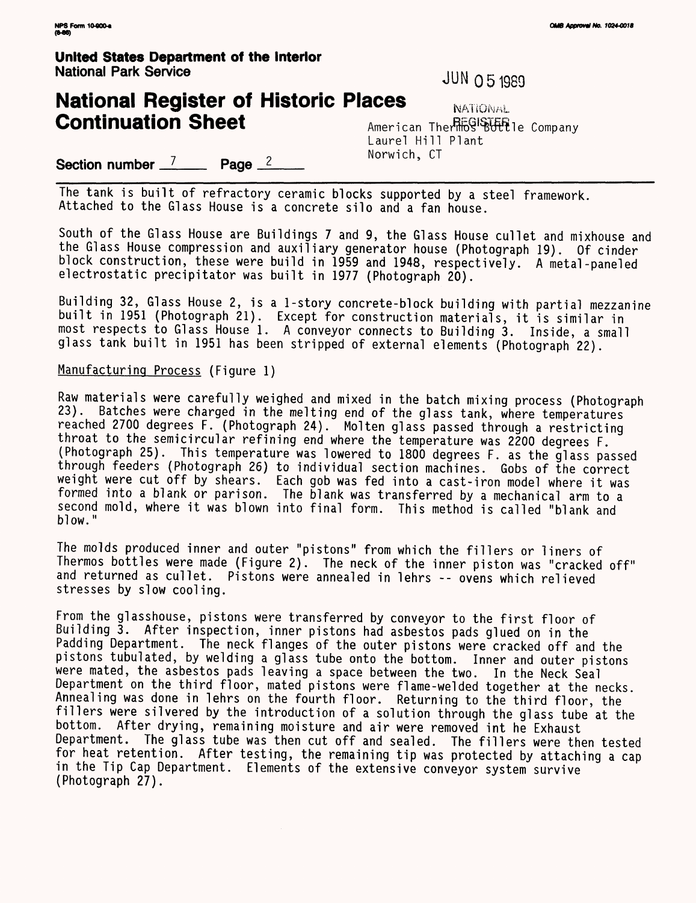## **United States Department of the Interior** National Park Service JUN 05 1989

## **National Register of Historic Places** NATIONAL **Continuation Sheet** American Therl6CONSULE Company

Laurel Hill Plant<br>Norwich, CT

**Section number** <sup>7</sup> **Page** <sup>2</sup> **Norwich, CT** 

The tank is built of refractory ceramic blocks supported by a steel framework. Attached to the Glass House is a concrete silo and a fan house.

South of the Glass House are Buildings 7 and 9, the Glass House cullet and mixhouse and the Glass House compression and auxiliary generator house (Photograph 19). Of cinder block construction, these were build in 1959 and 1948, respectively. A metal -paneled electrostatic precipitator was built in 1977 (Photograph 20).

Building 32, Glass House 2, is a 1-story concrete-block building with partial mezzanine built in 1951 (Photograph 21). Except for construction materials, it is similar in most respects to Glass House 1. A conveyor connects to Building 3. Inside, a small glass tank built in 1951 has been stripped of external elements (Photograph 22).

#### Manufacturing Process (Figure 1)

Raw materials were carefully weighed and mixed in the batch mixing process (Photograph<br>23). Batches were charged in the melting end of the glass tank, where temperatures Batches were charged in the melting end of the glass tank, where temperatures reached 2700 degrees F. (Photograph 24). Molten glass passed through a restricting throat to the semicircular refining end where the temperature was 2200 degrees F. (Photograph 25). This temperature was lowered to 1800 degrees F. as the glass passed through feeders (Photograph 26) to individual section machines. Gobs of the correct weight were cut off by shears. Each gob was fed into a cast-iron model where it was formed into a blank or parison. The blank was transferred by a mechanical arm to a second mold, where it was blown into final form. This method is called "blank and blow."

The molds produced inner and outer "pistons" from which the fillers or liners of Thermos bottles were made (Figure 2). The neck of the inner piston was "cracked off" and returned as cullet. Pistons were annealed in lehrs -- ovens which relieved stresses by slow cooling.

From the glasshouse, pistons were transferred by conveyor to the first floor of Building 3. After inspection, inner pistons had asbestos pads glued on in the Padding Department. The neck flanges of the outer pistons were cracked off and the pistons tubulated, by welding a glass tube onto the bottom. Inner and outer pistons were mated, the asbestos pads leaving a space between the two. In the Neck Seal Department on the third floor, mated pistons were flame-welded together at the necks. Annealing was done in lehrs on the fourth floor. Returning to the third floor, the fillers were silvered by the introduction of a solution through the glass tube at the bottom. After drying, remaining moisture and air were removed int he Exhaust Department. The glass tube was then cut off and sealed. The fillers were then tested for heat retention. After testing, the remaining tip was protected by attaching a cap in the Tip Cap Department. Elements of the extensive conveyor system survive (Photograph 27).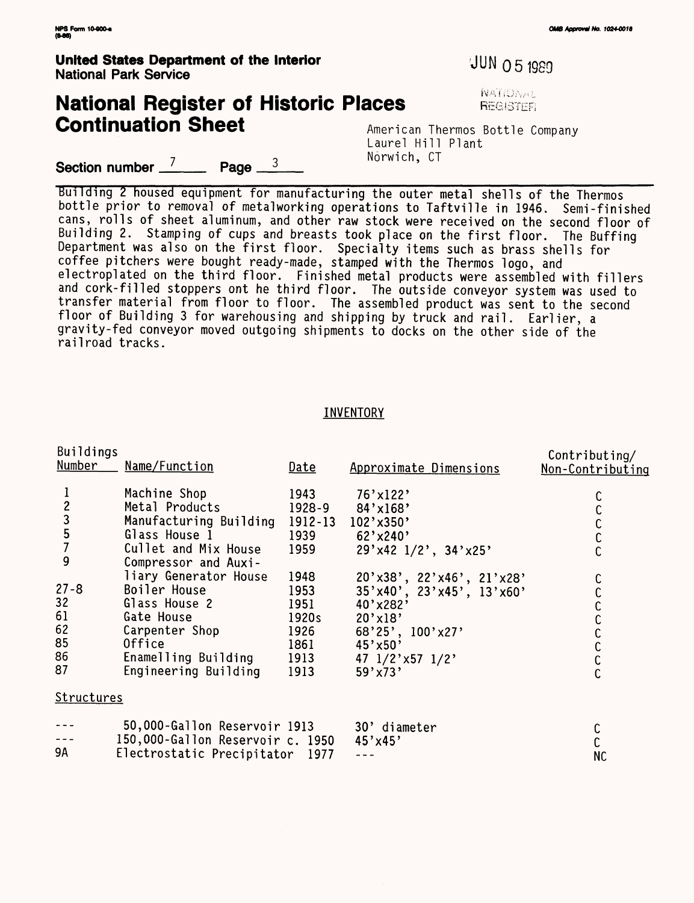$\overline{\mathbf{B}}$ 

# **National Register of Historic Places in the Register of ALGISTER Continuation Sheet**

American Thermos Bottle Company Laurel Hill Plant<br>Norwich, CT

**Section number**  $\frac{7}{2}$  **Page**  $\frac{3}{2}$  **Norwich, CT** 

Building 2 housed equipment for manufacturing the outer metal shells of the Thermos bottle prior to removal of metalworking operations to Taftville in 1946. Semi-finished cans, rolls of sheet aluminum, and other raw stock were received on the second floor of Building 2. Stamping of cups and breasts took place on the first floor. The Buffing Department was also on the first floor. Specialty items such as brass shells for coffee pitchers were bought ready-made, stamped with the Thermos logo, and electroplated on the third floor. Finished metal products were assembled with fillers and cork-filled stoppers ont he third floor. The outside conveyor system was used to transfer material from floor to floor. The assembled product was sent to the second floor of Building 3 for warehousing and shipping by truck and rail. Earlier, a gravity-fed conveyor moved outgoing shipments to docks on the other side of the railroad tracks.

#### INVENTORY

| <b>Buildings</b><br>Number                      | Name/Function                                | Date       | Approximate Dimensions             | Contributing/<br>Non-Contributing |
|-------------------------------------------------|----------------------------------------------|------------|------------------------------------|-----------------------------------|
|                                                 | Machine Shop                                 | 1943       | $76'$ x 122'                       |                                   |
|                                                 | Metal Products                               | $1928 - 9$ | $84' \times 168'$                  |                                   |
| $\begin{array}{c} 2 \\ 3 \\ 5 \\ 7 \end{array}$ | Manufacturing Building 1912-13               |            | 102'x350'                          |                                   |
|                                                 | Glass House 1                                | 1939       | $62'$ x 240'                       |                                   |
| 9                                               | Cullet and Mix House<br>Compressor and Auxi- | 1959       | 29'x42 1/2', 34'x25'               |                                   |
|                                                 | liary Generator House                        | 1948       | $20'$ x38', 22' x46', 21' x28'     |                                   |
| $27 - 8$                                        | Boiler House                                 | 1953       | $35'$ x40', $23'$ x45', $13'$ x60' |                                   |
| 32                                              | Glass House 2                                | 1951       | 40'x282'                           |                                   |
| 61                                              | Gate House                                   | 1920s      | 20'x18'                            |                                   |
| 62                                              | Carpenter Shop                               | 1926       | $68'25'$ , $100'x27'$              |                                   |
| 85                                              | Office                                       | 1861       | $45'$ x50'                         | C<br>C                            |
| 86                                              | Enamelling Building                          | 1913       | 47 $1/2$ 'x57 $1/2$ '              |                                   |
| 87                                              | Engineering Building                         | 1913       | $59'$ x73'                         |                                   |
| Structures                                      |                                              |            |                                    |                                   |
|                                                 | 50,000-Gallon Reservoir 1913                 |            | 30' diameter                       |                                   |
|                                                 | 150,000-Gallon Reservoir c. 1950             |            | $45'$ x 45'                        |                                   |
| 9A                                              | Electrostatic Precipitator 1977              |            |                                    | <b>NC</b>                         |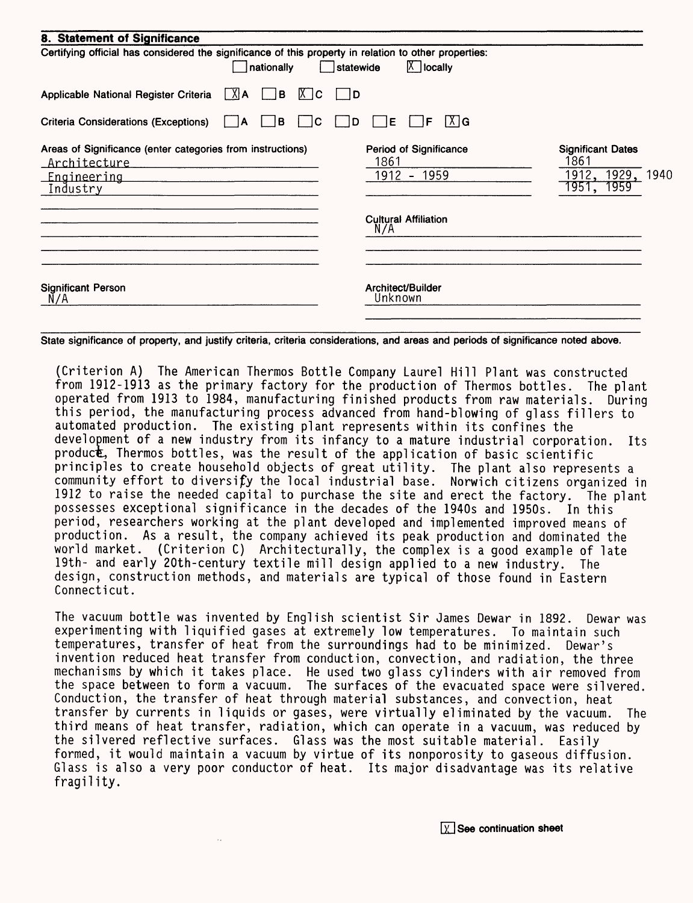| 8. Statement of Significance                                                                                        |                                                                                            |                                                                          |
|---------------------------------------------------------------------------------------------------------------------|--------------------------------------------------------------------------------------------|--------------------------------------------------------------------------|
| Certifying official has considered the significance of this property in relation to other properties:<br>nationally | $X$ locally<br>statewide                                                                   |                                                                          |
| $[X]$ A<br>B<br>Applicable National Register Criteria<br>$ X $ C                                                    | <b>D</b>                                                                                   |                                                                          |
| <b>Criteria Considerations (Exceptions)</b><br>в<br>C<br>١A                                                         | X   G<br>Е<br>F<br>D                                                                       |                                                                          |
| Areas of Significance (enter categories from instructions)<br>Architecture<br><u>Engineering</u><br>Industry        | <b>Period of Significance</b><br>1861<br>1912 - 1959<br><b>Cultural Affiliation</b><br>N/A | <b>Significant Dates</b><br>1861<br>1929, 1940<br>1912,<br>1951,<br>1959 |
| <b>Significant Person</b><br>N/A                                                                                    | Architect/Builder<br>Unknown                                                               |                                                                          |

State significance of property, and justify criteria, criteria considerations, and areas and periods of significance noted above.

(Criterion A) The American Thermos Bottle Company Laurel Hill Plant was constructed from 1912-1913 as the primary factory for the production of Thermos bottles. The plant operated from 1913 to 1984, manufacturing finished products from raw materials. During this period, the manufacturing process advanced from hand-blowing of glass fillers to automated production. The existing plant represents within its confines the development of a new industry from its infancy to a mature industrial corporation. Its product, Thermos bottles, was the result of the application of basic scientific principles to create household objects of great utility. The plant also represents a community effort to diversify the local industrial base. Norwich citizens organized in 1912 to raise the needed capital to purchase the site and erect the factory. The plant possesses exceptional significance in the decades of the 1940s and 1950s. In this period, researchers working at the plant developed and implemented improved means of production. As a result, the company achieved its peak production and dominated the world market. (Criterion C) Architecturally, the complex is a good example of late 19th- and early 20th-century textile mill design applied to a new industry. The design, construction methods, and materials are typical of those found in Eastern Connecticut.

The vacuum bottle was invented by English scientist Sir James Dewar in 1892. Dewar was experimenting with liquified gases at extremely low temperatures. To maintain such temperatures, transfer of heat from the surroundings had to be minimized. Dewar's invention reduced heat transfer from conduction, convection, and radiation, the three mechanisms by which it takes place. He used two glass cylinders with air removed from the space between to form a vacuum. The surfaces of the evacuated space were silvered. Conduction, the transfer of heat through material substances, and convection, heat transfer by currents in liquids or gases, were virtually eliminated by the vacuum. The third means of heat transfer, radiation, which can operate in a vacuum, was reduced by the silvered reflective surfaces. Glass was the most suitable material. Easily formed, it would maintain a vacuum by virtue of its nonporosity to gaseous diffusion. Glass is also a very poor conductor of heat. Its major disadvantage was its relative fragility.

 $\boxed{\chi}$  See continuation sheet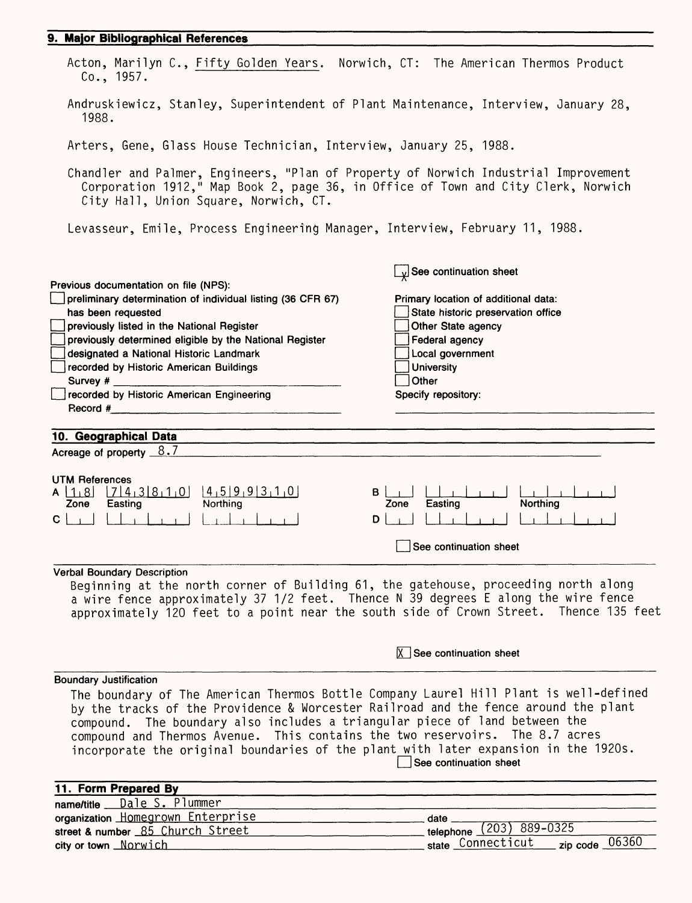### **9. Major Bibliographical References**

| Acton, Marilyn C., Fifty Golden Years. Norwich, CT: The American Thermos Product<br>Co., 1957.                                                                                                                                                                                                                                            |                                                                   |
|-------------------------------------------------------------------------------------------------------------------------------------------------------------------------------------------------------------------------------------------------------------------------------------------------------------------------------------------|-------------------------------------------------------------------|
| Andruskiewicz, Stanley, Superintendent of Plant Maintenance, Interview, January 28,<br>1988.                                                                                                                                                                                                                                              |                                                                   |
| Arters, Gene, Glass House Technician, Interview, January 25, 1988.                                                                                                                                                                                                                                                                        |                                                                   |
| Chandler and Palmer, Engineers, "Plan of Property of Norwich Industrial Improvement<br>Corporation 1912," Map Book 2, page 36, in Office of Town and City Clerk, Norwich<br>City Hall, Union Square, Norwich, CT.                                                                                                                         |                                                                   |
| Levasseur, Emile, Process Engineering Manager, Interview, February 11, 1988.                                                                                                                                                                                                                                                              |                                                                   |
| Previous documentation on file (NPS):                                                                                                                                                                                                                                                                                                     | $\mathbf{y}$ See continuation sheet                               |
| preliminary determination of individual listing (36 CFR 67)                                                                                                                                                                                                                                                                               | Primary location of additional data:                              |
| has been requested                                                                                                                                                                                                                                                                                                                        | State historic preservation office                                |
| previously listed in the National Register                                                                                                                                                                                                                                                                                                | Other State agency                                                |
| previously determined eligible by the National Register                                                                                                                                                                                                                                                                                   | Federal agency                                                    |
| designated a National Historic Landmark                                                                                                                                                                                                                                                                                                   | Local government                                                  |
| recorded by Historic American Buildings<br>Survey #                                                                                                                                                                                                                                                                                       | <b>University</b><br>Other                                        |
| recorded by Historic American Engineering                                                                                                                                                                                                                                                                                                 | Specify repository:                                               |
| Record #                                                                                                                                                                                                                                                                                                                                  |                                                                   |
| 10. Geographical Data                                                                                                                                                                                                                                                                                                                     |                                                                   |
| Acreage of property $8.7$                                                                                                                                                                                                                                                                                                                 |                                                                   |
| <b>UTM References</b><br>$[7]4_13[8_11_0]$ $[4_15]9_19[3_11_0]$<br>$A \mid 1.8$<br>B<br>Northing<br>Zone<br>Easting                                                                                                                                                                                                                       | Northing<br>Easting<br>Zone                                       |
| $C \mid \cdot$<br>D                                                                                                                                                                                                                                                                                                                       |                                                                   |
|                                                                                                                                                                                                                                                                                                                                           | See continuation sheet                                            |
| <b>Verbal Boundary Description</b>                                                                                                                                                                                                                                                                                                        |                                                                   |
| Beginning at the north corner of Building 61, the gatehouse, proceeding north along<br>a wire fence approximately 37 1/2 feet. Thence N 39 degrees E along the wire fence<br>approximately 120 feet to a point near the south side of Crown Street. Thence 135 feet                                                                       |                                                                   |
|                                                                                                                                                                                                                                                                                                                                           | $X$ See continuation sheet                                        |
| <b>Boundary Justification</b>                                                                                                                                                                                                                                                                                                             |                                                                   |
| The boundary of The American Thermos Bottle Company Laurel Hill Plant is well-defined                                                                                                                                                                                                                                                     |                                                                   |
| by the tracks of the Providence & Worcester Railroad and the fence around the plant<br>compound. The boundary also includes a triangular piece of land between the<br>compound and Thermos Avenue. This contains the two reservoirs. The 8.7 acres<br>incorporate the original boundaries of the plant with later expansion in the 1920s. |                                                                   |
|                                                                                                                                                                                                                                                                                                                                           | See continuation sheet                                            |
| 11. Form Prepared By                                                                                                                                                                                                                                                                                                                      |                                                                   |
| name/title __ Dale S. Plummer                                                                                                                                                                                                                                                                                                             |                                                                   |
| organization Homegrown Enterprise                                                                                                                                                                                                                                                                                                         | $date_$                                                           |
| street & number 85 Church Street                                                                                                                                                                                                                                                                                                          | telephone (203) 889-0325<br>zip code $06360$<br>state Connecticut |
| city or town Morwich                                                                                                                                                                                                                                                                                                                      |                                                                   |

city or town Norwich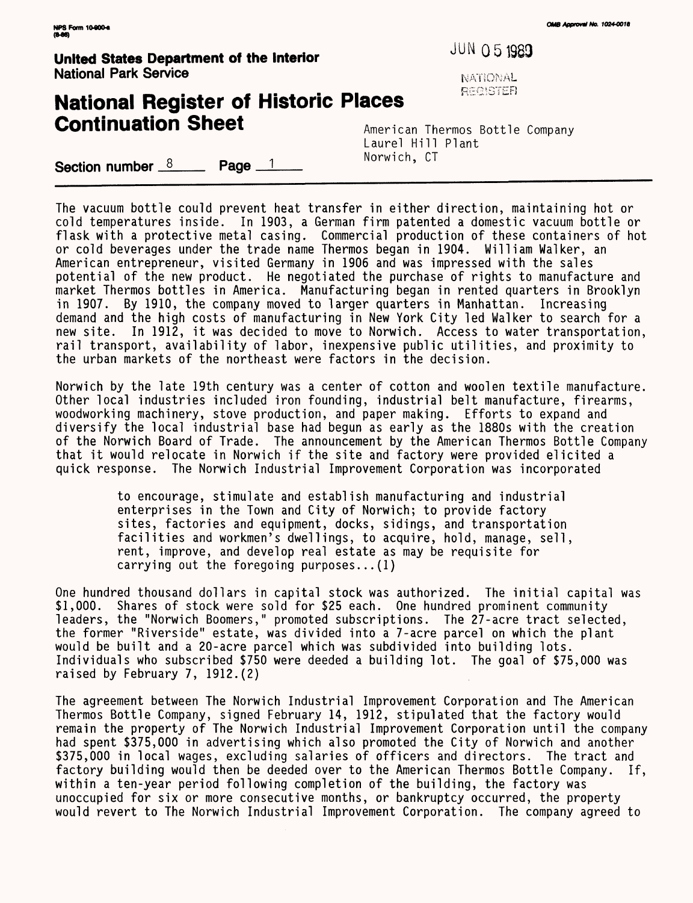**United States Department of the Interior**  $JUN O 5 1989$ **National Park Service NATIONAL Service NATIONAL** 

## **National Register of Historic Places Continuation Sheet** American Thermos Bottle Company

Laurel Hill Plant<br>Norwich, CT

 $~\textbf{Section number} \quad \textcolor{red}{8} \qquad \textcolor{red}{\textbf{Page} \quad \textcolor{red}{1} \qquad \textcolor{red}{\textbf{2} \quad \textcolor{red}{1} \qquad \textcolor{red}{\textbf{2} \quad \textcolor{red}{1} \quad \textcolor{red}{\textbf{2} \quad \textcolor{red}{1} \quad \textcolor{red}{\textbf{2} \quad \textcolor{red}{\textbf{2} \quad \textcolor{red}{1} \quad \textcolor{red}{\textbf{2} \quad \textcolor{red}{1} \quad \textcolor{red}{\textbf{2} \quad \textcolor{red}{\textbf{2} \quad \textcolor{red}{\textbf{2}$ 

The vacuum bottle could prevent heat transfer in either direction, maintaining hot or cold temperatures inside. In 1903, a German firm patented a domestic vacuum bottle or flask with a protective metal casing. Commercial production of these containers of hot or cold beverages under the trade name Thermos began in 1904. William Walker, an American entrepreneur, visited Germany in 1906 and was impressed with the sales potential of the new product. He negotiated the purchase of rights to manufacture and market Thermos bottles in America. Manufacturing began in rented quarters in Brooklyn in 1907. By 1910, the company moved to larger quarters in Manhattan. Increasing demand and the high costs of manufacturing in New York City led Walker to search for a new site. In 1912, it was decided to move to Norwich. Access to water transportation, rail transport, availability of labor, inexpensive public utilities, and proximity to the urban markets of the northeast were factors in the decision.

Norwich by the late 19th century was a center of cotton and woolen textile manufacture. Other local industries included iron founding, industrial belt manufacture, firearms, woodworking machinery, stove production, and paper making. Efforts to expand and diversify the local industrial base had begun as early as the 1880s with the creation of the Norwich Board of Trade. The announcement by the American Thermos Bottle Company that it would relocate in Norwich if the site and factory were provided elicited a quick response. The Norwich Industrial Improvement Corporation was incorporated

> to encourage, stimulate and establish manufacturing and industrial enterprises in the Town and City of Norwich; to provide factory sites, factories and equipment, docks, sidings, and transportation facilities and workmen's dwellings, to acquire, hold, manage, sell, rent, improve, and develop real estate as may be requisite for carrying out the foregoing purposes...(1)

One hundred thousand dollars in capital stock was authorized. The initial capital was<br>\$1,000. Shares of stock were sold for \$25 each. One hundred prominent community Shares of stock were sold for \$25 each. One hundred prominent community leaders, the "Norwich Boomers," promoted subscriptions. The 27-acre tract selected, the former "Riverside" estate, was divided into a 7-acre parcel on which the plant would be built and a 20-acre parcel which was subdivided into building lots. Individuals who subscribed \$750 were deeded a building lot. The goal of \$75,000 was raised by February 7, 1912.(2)

The agreement between The Norwich Industrial Improvement Corporation and The American Thermos Bottle Company, signed February 14, 1912, stipulated that the factory would remain the property of The Norwich Industrial Improvement Corporation until the company had spent \$375,000 in advertising which also promoted the City of Norwich and another \$375,000 in local wages, excluding salaries of officers and directors. The tract and factory building would then be deeded over to the American Thermos Bottle Company. If, within a ten-year period following completion of the building, the factory was unoccupied for six or more consecutive months, or bankruptcy occurred, the property would revert to The Norwich Industrial Improvement Corporation. The company agreed to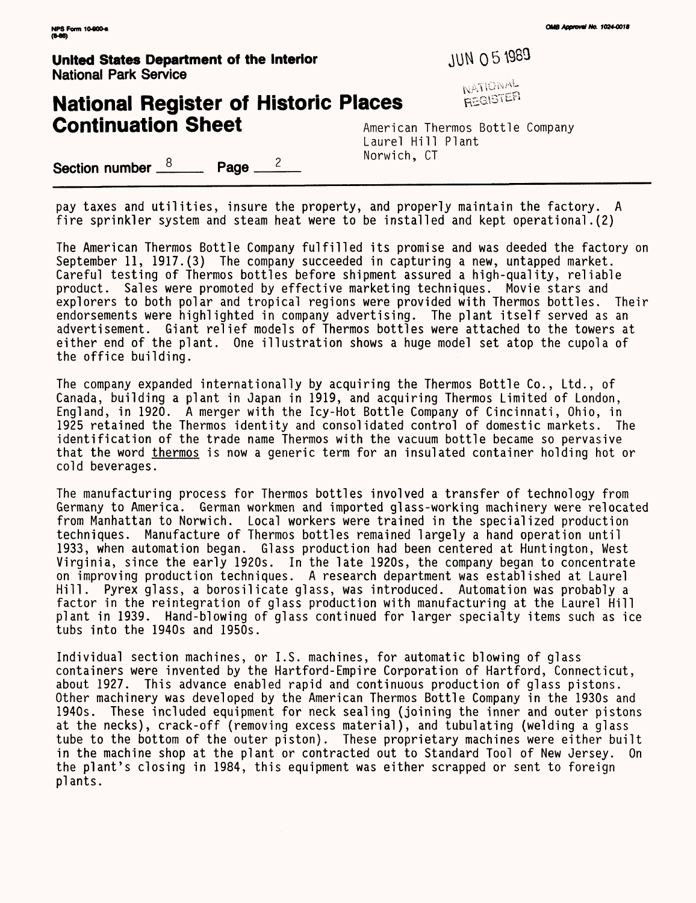**United States Department of the Interior**  $JUN O 5 1989$ National Park Service

## **National Register of Historic Places Continuation Sheet** American Thermos Bottle Company

NATIONAL<br>REGISTER

Laurel Hill Plant 2 Norwich, CT

Section number  $\frac{8}{3}$  Page \_

pay taxes and utilities, insure the property, and properly maintain the factory. A fire sprinkler system and steam heat were to be installed and kept operational .(2)

The American Thermos Bottle Company fulfilled its promise and was deeded the factory on September 11, 1917. (3) The company succeeded in capturing a new, untapped market. Careful testing of Thermos bottles before shipment assured a high-quality, reliable product. Sales were promoted by effective marketing techniques. Movie stars and explorers to both polar and tropical regions were provided with Thermos bottles. Their endorsements were highlighted in company advertising. The plant itself served as an advertisement. Giant relief models of Thermos bottles were attached to the towers at either end of the plant. One illustration shows a huge model set atop the cupola of the office building.

The company expanded internationally by acquiring the Thermos Bottle Co., Ltd., of Canada, building a plant in Japan in 1919, and acquiring Thermos Limited of London, England, in 1920. A merger with the Icy-Hot Bottle Company of Cincinnati, Ohio, in 1925 retained the Thermos identity and consolidated control of domestic markets. The identification of the trade name Thermos with the vacuum bottle became so pervasive that the word thermos is now a generic term for an insulated container holding hot or cold beverages.

The manufacturing process for Thermos bottles involved a transfer of technology from Germany to America. German workmen and imported glass-working machinery were relocated from Manhattan to Norwich. Local workers were trained in the specialized production techniques. Manufacture of Thermos bottles remained largely a hand operation until 1933, when automation began. Glass production had been centered at Huntington, West Virginia, since the early 1920s. In the late 1920s, the company began to concentrate on improving production techniques. A research department was established at Laurel Hill. Pyrex glass, a borosilicate glass, was introduced. Automation was probably a factor in the reintegration of glass production with manufacturing at the Laurel Hill plant in 1939. Hand-blowing of glass continued for larger specialty items such as ice tubs into the 1940s and 1950s.

Individual section machines, or I.S. machines, for automatic blowing of glass containers were invented by the Hartford-Empire Corporation of Hartford, Connecticut, about 1927. This advance enabled rapid and continuous production of glass pistons. Other machinery was developed by the American Thermos Bottle Company in the 1930s and 1940s. These included equipment for neck sealing (joining the inner and outer pistons at the necks), crack-off (removing excess material), and tubulating (welding a glass tube to the bottom of the outer piston). These proprietary machines were either built in the machine shop at the plant or contracted out to Standard Tool of New Jersey. On the plant's closing in 1984, this equipment was either scrapped or sent to foreign plants.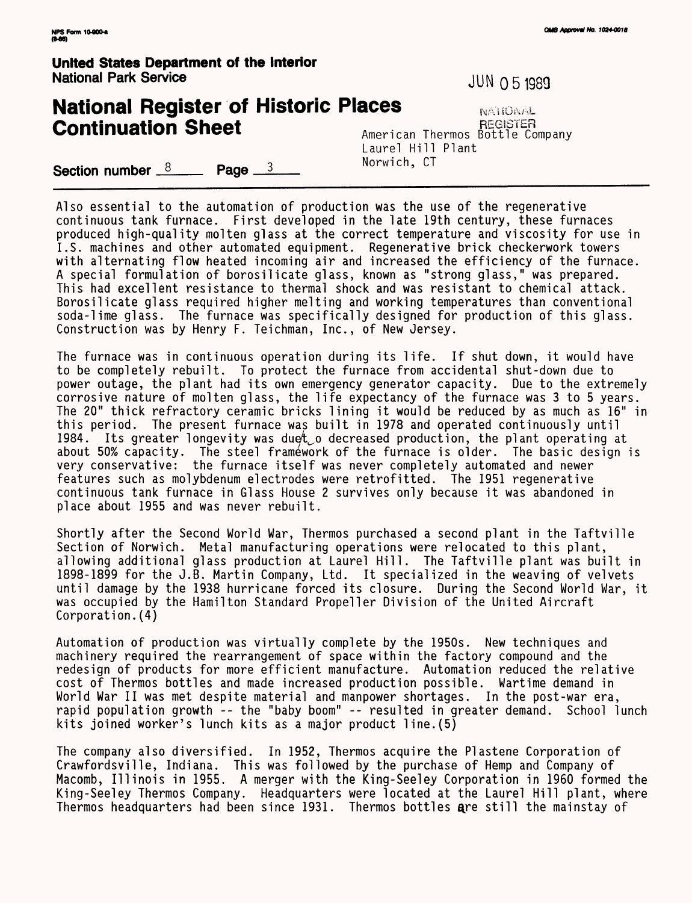**United States Department of the Interior** National Park Service JUN 0 5 1989

## **National Register of Historic Places** NATIONAL **Continuation Sheet U.S. American Thermos Bottle Company**

Laurel Hill Plant<br>Norwich, CT Section number  $\frac{8}{2}$  Page  $\frac{3}{2}$ 

Also essential to the automation of production was the use of the regenerative continuous tank furnace. First developed in the late 19th century, these furnaces produced high-quality molten glass at the correct temperature and viscosity for use in I.S. machines and other automated equipment. Regenerative brick checkerwork towers with alternating flow heated incoming air and increased the efficiency of the furnace. A special formulation of borosilicate glass, known as "strong glass," was prepared. This had excellent resistance to thermal shock and was resistant to chemical attack. Borosilicate glass required higher melting and working temperatures than conventional soda-lime glass. The furnace was specifically designed for production of this glass. Construction was by Henry F. Teichman, Inc., of New Jersey.

The furnace was in continuous operation during its life. If shut down, it would have to be completely rebuilt. To protect the furnace from accidental shut-down due to power outage, the plant had its own emergency generator capacity. Due to the extremely corrosive nature of molten glass, the life expectancy of the furnace was 3 to 5 years. The 20" thick refractory ceramic bricks lining it would be reduced by as much as 16" in this period. The present furnace was built in 1978 and operated continuously until 1984. Its greater longevity was duet o decreased production, the plant operating at about 50% capacity. The steel framework of the furnace is older. The basic design is very conservative: the furnace itself was never completely automated and newer features such as molybdenum electrodes were retrofitted. The 1951 regenerative continuous tank furnace in Glass House 2 survives only because it was abandoned in place about 1955 and was never rebuilt.

Shortly after the Second World War, Thermos purchased a second plant in the Taftville Section of Norwich. Metal manufacturing operations were relocated to this plant, allowing additional glass production at Laurel Hill. The Taftville plant was built in 1898-1899 for the J.B. Martin Company, Ltd. It specialized in the weaving of velvets until damage by the 1938 hurricane forced its closure. During the Second World War, it was occupied by the Hamilton Standard Propeller Division of the United Aircraft Corporation.(4)

Automation of production was virtually complete by the 1950s. New techniques and machinery required the rearrangement of space within the factory compound and the redesign of products for more efficient manufacture. Automation reduced the relative cost of Thermos bottles and made increased production possible. Wartime demand in World War II was met despite material and manpower shortages. In the post-war era, rapid population growth -- the "baby boom" -- resulted in greater demand. School lunch kits joined worker's lunch kits as a major product line.(5)

The company also diversified. In 1952, Thermos acquire the Plastene Corporation of Crawfordsville, Indiana. This was followed by the purchase of Hemp and Company of Macomb, Illinois in 1955. A merger with the King-Seeley Corporation in 1960 formed the King-Seeley Thermos Company. Headquarters were located at the Laurel Hill plant, where Thermos headquarters had been since 1931. Thermos bottles are still the mainstay of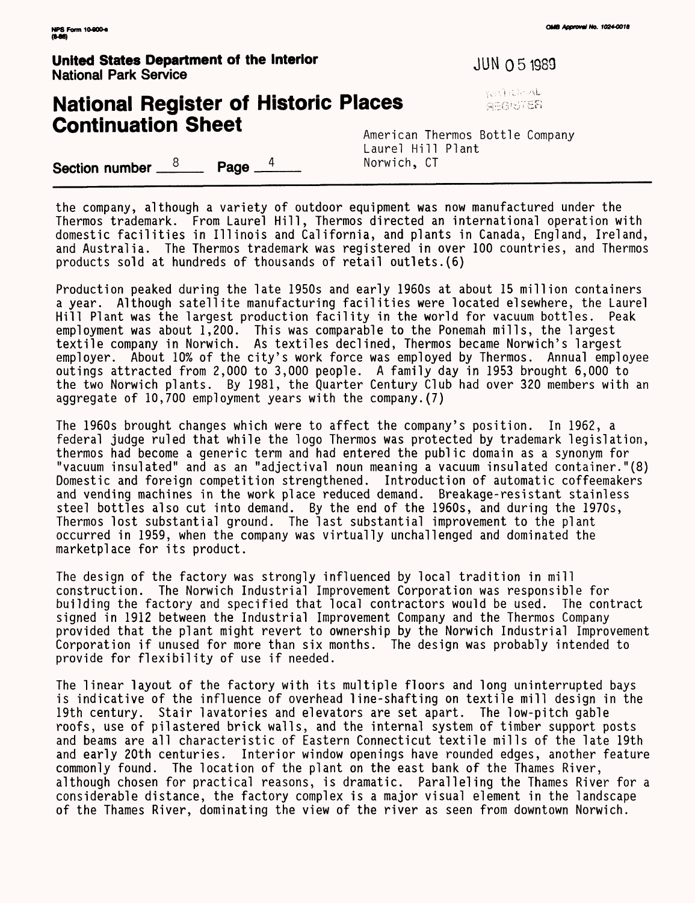**United States Department of the Interior Mateural Contract Constructs** JUN 0 5 1989 National Park Service

## **National Register of Historic Places Expansion Register of Historic Places Continuation Sheet American Thermos Bottle Company**

Laurel Hill Plant

**Section number**  $\frac{8}{2}$  **Page**  $\frac{4}{2}$  **Norwich, CT** 

the company, although a variety of outdoor equipment was now manufactured under the Thermos trademark. From Laurel Hill, Thermos directed an international operation with domestic facilities in Illinois and California, and plants in Canada, England, Ireland, and Australia. The Thermos trademark was registered in over 100 countries, and Thermos products sold at hundreds of thousands of retail outlets.(6)

Production peaked during the late 1950s and early 1960s at about 15 million containers a year. Although satellite manufacturing facilities were located elsewhere, the Laurel Hill Plant was the largest production facility in the world for vacuum bottles. Peak employment was about 1,200. This was comparable to the Ponemah mills, the largest textile company in Norwich. As textiles declined, Thermos became Norwich's largest employer. About 10% of the city's work force was employed by Thermos. Annual employee outings attracted from 2,000 to 3,000 people. A family day in 1953 brought 6,000 to the two Norwich plants. By 1981, the Quarter Century Club had over 320 members with an aggregate of 10,700 employment years with the company.(7)

The 1960s brought changes which were to affect the company's position. In 1962, a federal judge ruled that while the logo Thermos was protected by trademark legislation, thermos had become a generic term and had entered the public domain as a synonym for "vacuum insulated" and as an "adjectival noun meaning a vacuum insulated container."(8) Domestic and foreign competition strengthened. Introduction of automatic coffeemakers and vending machines in the work place reduced demand. Breakage-resistant stainless steel bottles also cut into demand. By the end of the 1960s, and during the 1970s, Thermos lost substantial ground. The last substantial improvement to the plant occurred in 1959, when the company was virtually unchallenged and dominated the marketplace for its product.

The design of the factory was strongly influenced by local tradition in mill construction. The Norwich Industrial Improvement Corporation was responsible for building the factory and specified that local contractors would be used. The contract signed in 1912 between the Industrial Improvement Company and the Thermos Company provided that the plant might revert to ownership by the Norwich Industrial Improvement Corporation if unused for more than six months. The design was probably intended to provide for flexibility of use if needed.

The linear layout of the factory with its multiple floors and long uninterrupted bays is indicative of the influence of overhead line-shafting on textile mill design in the 19th century. Stair lavatories and elevators are set apart. The low-pitch gable roofs, use of pilastered brick walls, and the internal system of timber support posts and beams are all characteristic of Eastern Connecticut textile mills of the late 19th and early 20th centuries. Interior window openings have rounded edges, another feature commonly found. The location of the plant on the east bank of the Thames River, although chosen for practical reasons, is dramatic. Paralleling the Thames River for a considerable distance, the factory complex is a major visual element in the landscape of the Thames River, dominating the view of the river as seen from downtown Norwich.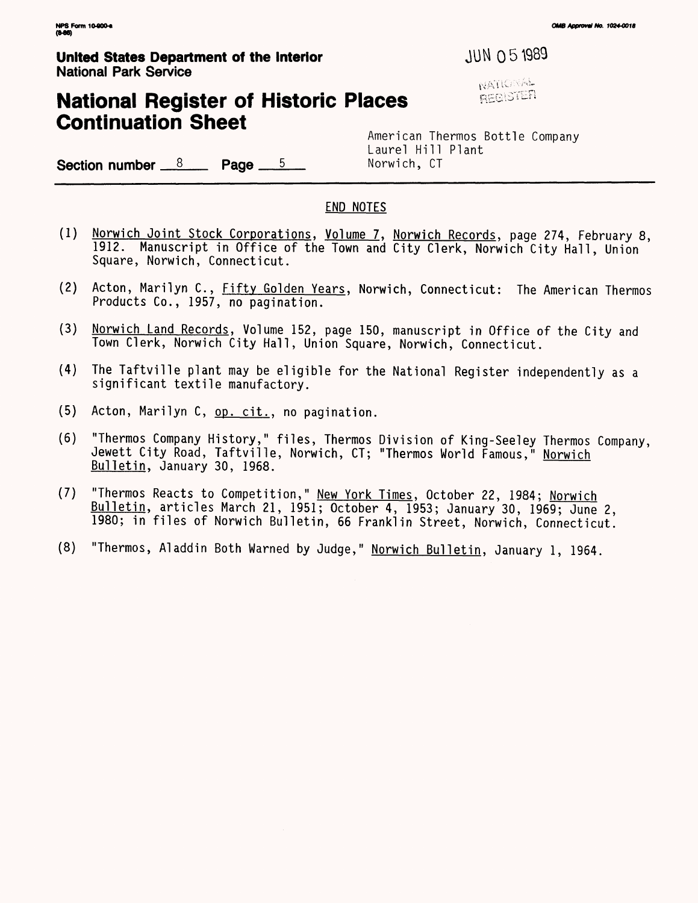### **United States Department of the Interior**  $JUN$  **0 51989** National Park Service

Section number  $\frac{8}{2}$  Page  $\frac{5}{2}$ 

## **National Register of Historic Places Continuation Sheet**

**NATIONAL** REGISTER

American Thermos Bottle Company Laurel Hill Plant<br>Norwich, CT

END NOTES

- (1) Norwich Joint Stock Corporations. Volume 7. Norwich Records, page 274, February 8, 1912. Manuscript in Office of the Town and City Clerk, Norwich City Hall, Union Square, Norwich, Connecticut.
- (2) Acton, Marilyn C., Fifty Golden Years, Norwich, Connecticut: The American Thermos Products Co., 1957, no pagination.
- (3) Norwich Land Records. Volume 152, page 150, manuscript in Office of the City and Town Clerk, Norwich City Hall, Union Square, Norwich, Connecticut.
- (4) The Taftville plant may be eligible for the National Register independently as a significant textile manufactory.
- (5) Acton, Marilyn C, op. cit.. no pagination.
- (6) "Thermos Company History," files, Thermos Division of King-Seeley Thermos Company, Jewett City Road, Taftville, Norwich, CT; "Thermos World Famous," Norwich Bulletin. January 30, 1968.
- (7) "Thermos Reacts to Competition," New York Times. October 22, 1984; Norwich Bulletin, articles March 21, 1951; October 4, 1953; January 30, 1969; June 2, 1980; in files of Norwich Bulletin, 66 Franklin Street, Norwich, Connecticut.
- (8) "Thermos, Aladdin Both Warned by Judge," Norwich Bulletin, January 1, 1964.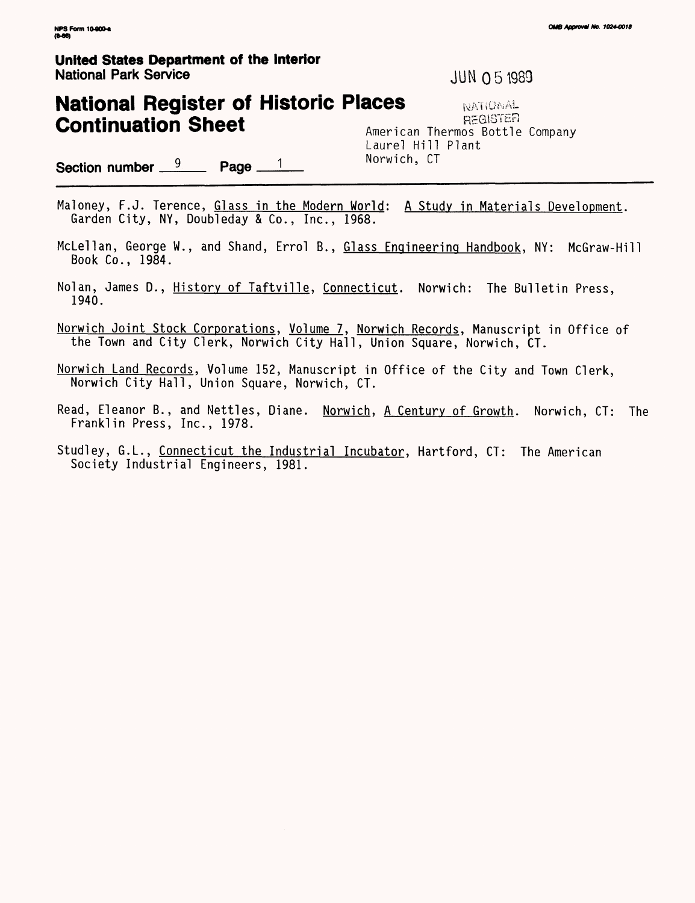#### **United States Department of the Interior** National Park Service JUM 0 5 1989

## **National Register of Historic Places Continuation Sheet** American Thermos Bottle Company

NATIONAL Laurel Hill Plant<br>Norwich, CT

Section number  $\frac{9}{2}$  Page  $\frac{1}{2}$ 

Maloney, F.J. Terence, Glass in the Modern World: A Study in Materials Development. Garden City, NY, Doubleday & Co., Inc., 1968.

- McLellan, George W., and Shand, Errol B., Glass Engineering Handbook, NY: McGraw-Hill Book Co., 1984.
- Nolan, James D., History of Taftville, Connecticut. Norwich: The Bulletin Press, 1940.
- Norwich Joint Stock Corporations, Volume 7, Norwich Records, Manuscript in Office of the Town and City Clerk, Norwich City Hall, Union Square, Norwich, CT.
- Norwich Land Records, Volume 152, Manuscript in Office of the City and Town Clerk, Norwich City Hall, Union Square, Norwich, CT.
- Read, Eleanor B., and Nettles, Diane. Norwich, A Century of Growth. Norwich, CT: The Franklin Press, Inc., 1978.
- Studley, G.L., Connecticut the Industrial Incubator, Hartford, CT: The American Society Industrial Engineers, 1981.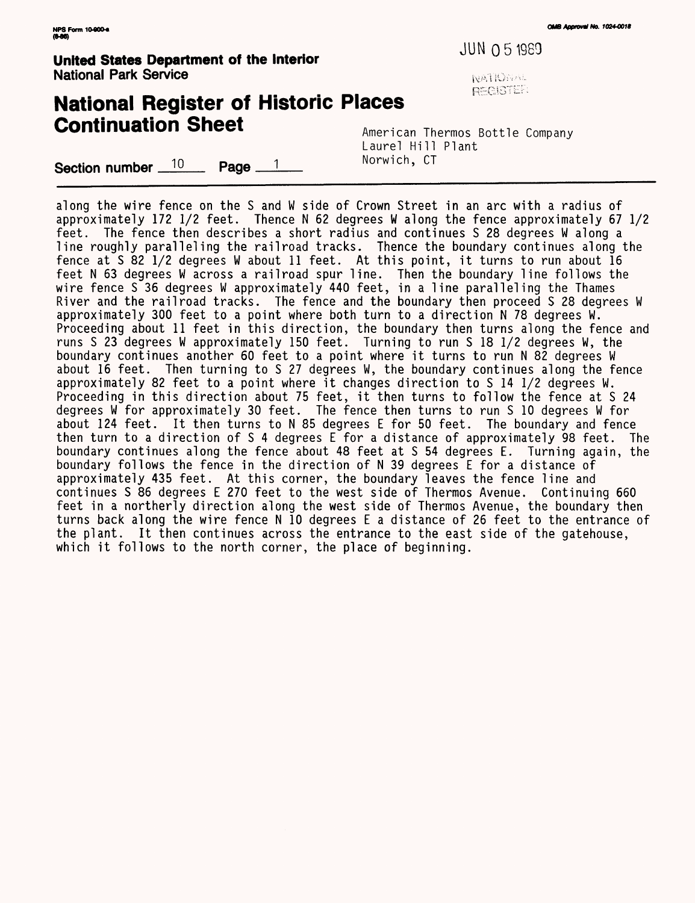National Park Service

JUN 05 1989 **United States Department of the Interior**

**NATIONAL REGISTER** 

## **National Register of Historic Places Continuation Sheet** American Thermos Bottle Company

Laurel Hill Plant<br>Norwich, CT

Section number  $10$  Page  $1$ 

along the wire fence on the S and W side of Crown Street in an arc with a radius of approximately 172 1/2 feet. Thence N 62 degrees W along the fence approximately 67 1/2 feet. The fence then describes a short radius and continues S 28 degrees W along a line roughly paralleling the railroad tracks. Thence the boundary continues along the fence at S 82 1/2 degrees W about 11 feet. At this point, it turns to run about 16 feet N 63 degrees W across a railroad spur line. Then the boundary line follows the wire fence S 36 degrees W approximately 440 feet, in a line paralleling the Thames River and the railroad tracks. The fence and the boundary then proceed S 28 degrees W approximately 300 feet to a point where both turn to a direction N 78 degrees W. Proceeding about 11 feet in this direction, the boundary then turns along the fence and runs S 23 degrees W approximately 150 feet. Turning to run S 18 1/2 degrees W, the boundary continues another 60 feet to a point where it turns to run N 82 degrees W about 16 feet. Then turning to S 27 degrees W, the boundary continues along the fence approximately 82 feet to a point where it changes direction to S 14 1/2 degrees W. Proceeding in this direction about 75 feet, it then turns to follow the fence at S 24 degrees W for approximately 30 feet. The fence then turns to run S 10 degrees W for about 124 feet. It then turns to N 85 degrees E for 50 feet. The boundary and fence then turn to a direction of S 4 degrees E for a distance of approximately 98 feet. The boundary continues along the fence about 48 feet at S 54 degrees E. Turning again, the boundary follows the fence in the direction of N 39 degrees E for a distance of approximately 435 feet. At this corner, the boundary leaves the fence line and continues S 86 degrees E 270 feet to the west side of Thermos Avenue. Continuing 660 feet in a northerly direction along the west side of Thermos Avenue, the boundary then turns back along the wire fence N 10 degrees E a distance of 26 feet to the entrance of the plant. It then continues across the entrance to the east side of the gatehouse, which it follows to the north corner, the place of beginning.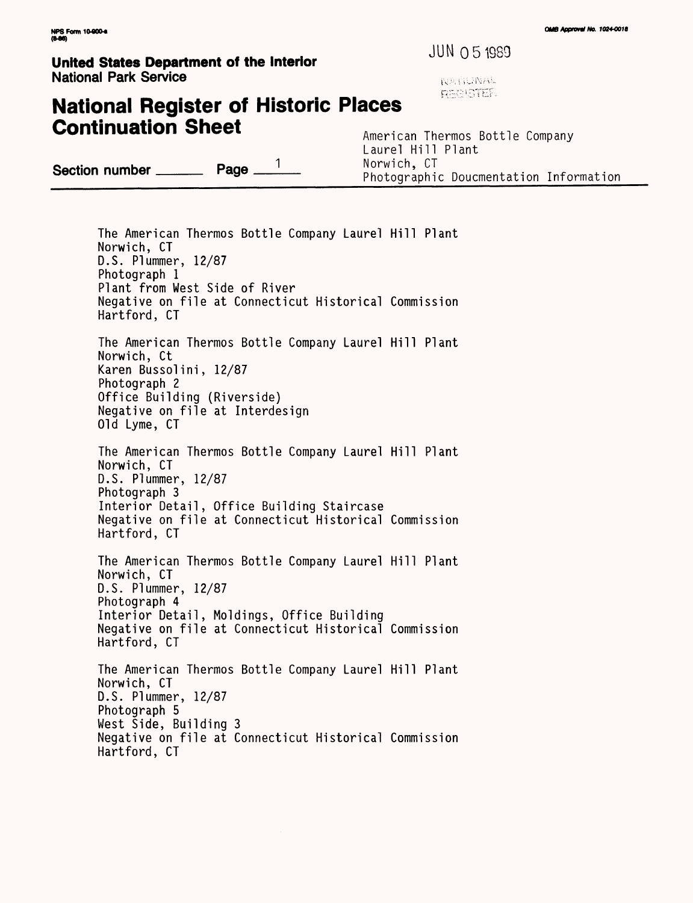## **United States Department of the Interior**  $\frac{JUN}{O5}$  **1989 National Park Service and Service and Service Service Service Service Service Service Service Service Service Service Service Service Service Service Service Service Service Service Service Service Service Service Service**

**PROJETER** 

## **National Register of Historic Places Continuation Sheet** American Thermos Bottle Company

Laurel Hill Plant<br>Norwich, CT **Section number** *mimPage* 2 1 Morwich, CT **number**<sub>2</sub> 2 2 Photographic Doucmentation Information

The American Thermos Bottle Company Laurel Hill Plant Norwich, CT D.S. Plummer, 12/87 Photograph 1 Plant from West Side of River Negative on file at Connecticut Historical Commission Hartford, CT The American Thermos Bottle Company Laurel Hill Plant Norwich, Ct Karen Bussolini, 12/87 Photograph 2 Office Building (Riverside) Negative on file at Interdesign Old Lyme, CT The American Thermos Bottle Company Laurel Hill Plant Norwich, CT D.S. Plummer, 12/87 Photograph 3 Interior Detail, Office Building Staircase Negative on file at Connecticut Historical Commission Hartford, CT The American Thermos Bottle Company Laurel Hill Plant Norwich, CT D.S. Plummer, 12/87 Photograph 4 Interior Detail, Moldings, Office Building Negative on file at Connecticut Historical Commission Hartford, CT The American Thermos Bottle Company Laurel Hill Plant Norwich, CT D.S. Plummer, 12/87 Photograph 5 West Side, Building 3 Negative on file at Connecticut Historical Commission Hartford, CT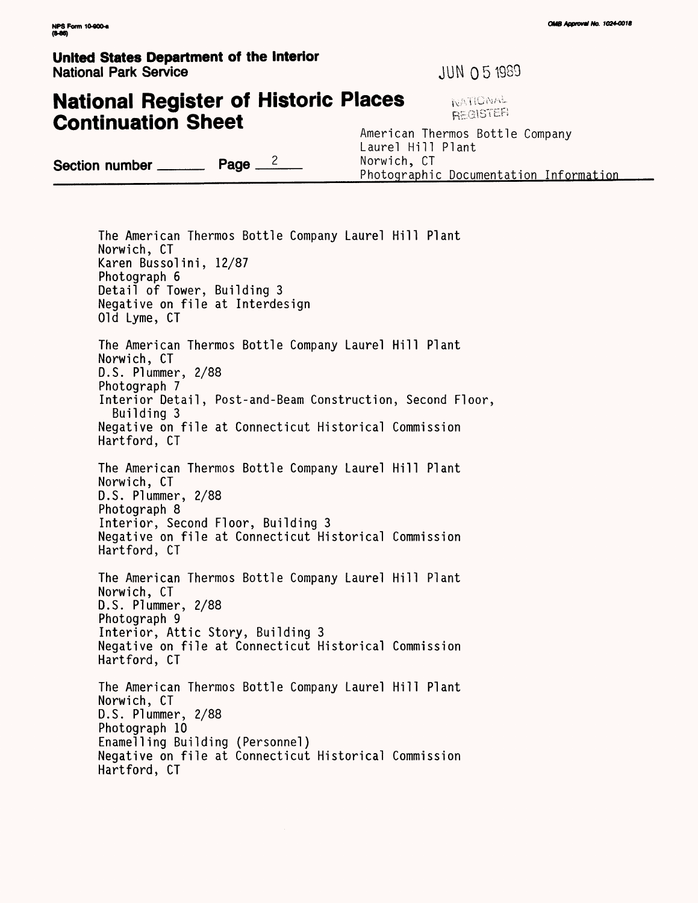#### **United States Department of the Interior** National Park Service JUN 0 5 1989

# **National Register of Historic Places EXPRES REGISTER**

American Thermos Bottle Company Laurel Hill Plant Section number  $\frac{Page}{2}$   $\frac{2}{100}$  Norwich, CT Photographic Documentation Information

The American Thermos Bottle Company Laurel Hill Plant Norwich, CT Karen Bussolini, 12/87 Photograph 6 Detail of Tower, Building 3 Negative on file at Interdesign Old Lyme, CT The American Thermos Bottle Company Laurel Hill Plant Norwich, CT D.S. Plummer, 2/88 Photograph 7 Interior Detail, Post-and-Beam Construction, Second Floor, Building 3 Negative on file at Connecticut Historical Commission Hartford, CT The American Thermos Bottle Company Laurel Hill Plant Norwich, CT D.S. Plummer, 2/88 Photograph 8 Interior, Second Floor, Building 3 Negative on file at Connecticut Historical Commission Hartford, CT The American Thermos Bottle Company Laurel Hill Plant Norwich, CT D.S. Plummer, 2/88 Photograph 9 Interior, Attic Story, Building 3 Negative on file at Connecticut Historical Commission Hartford, CT The American Thermos Bottle Company Laurel Hill Plant Norwich, CT D.S. Plummer, 2/88 Photograph 10 Enamelling Building (Personnel) Negative on file at Connecticut Historical Commission Hartford, CT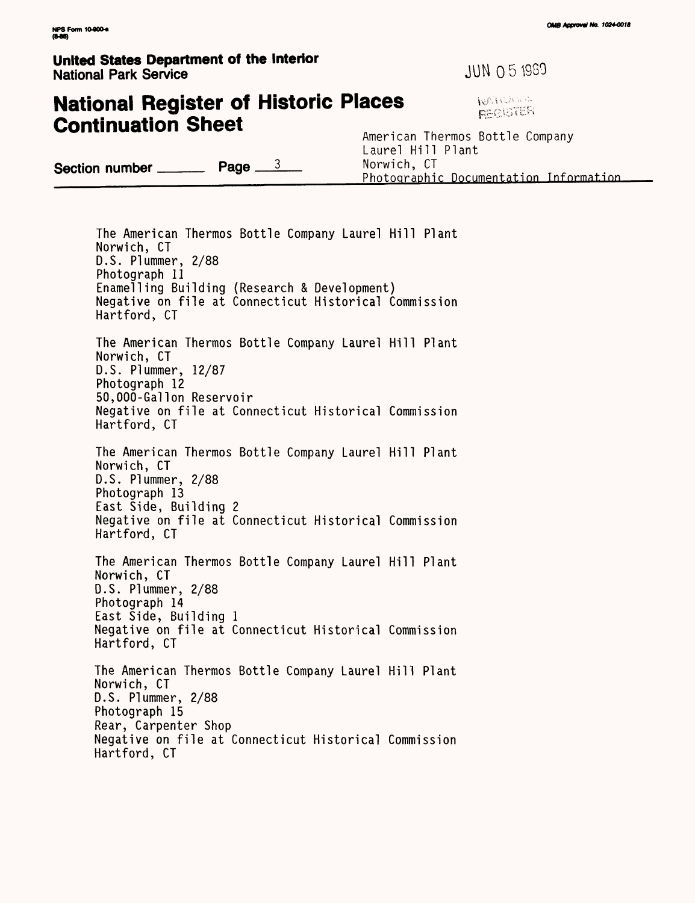#### **United States Department of the Interior** Since States Separament of the medicine of the state of the JUN 0 5 1969

## **National Register of Historic Places Continuation Sheet** American Thermos Bottle Company

Laurel Hill Plant **Section number Page** 3 Norwich, CT Photographic Documentation Information

The American Thermos Bottle Company Laurel Hill Plant Norwich, CT D.S. Plummer, 2/88 Photograph 11 Enamelling Building (Research & Development) Negative on file at Connecticut Historical Commission Hartford, CT The American Thermos Bottle Company Laurel Hill Plant Norwich, CT D.S. Plummer, 12/87 Photograph 12 50,000-Gallon Reservoir Negative on file at Connecticut Historical Commission Hartford, CT The American Thermos Bottle Company Laurel Hill Plant Norwich, CT D.S. Plummer, 2/88 Photograph 13 East Side, Building 2 Negative on file at Connecticut Historical Commission Hartford, CT The American Thermos Bottle Company Laurel Hill Plant Norwich, CT D.S. Plummer, 2/88 Photograph 14 East Side, Building 1 Negative on file at Connecticut Historical Commission Hartford, CT The American Thermos Bottle Company Laurel Hill Plant Norwich, CT D.S. Plummer, 2/88 Photograph 15 Rear, Carpenter Shop Negative on file at Connecticut Historical Commission Hartford, CT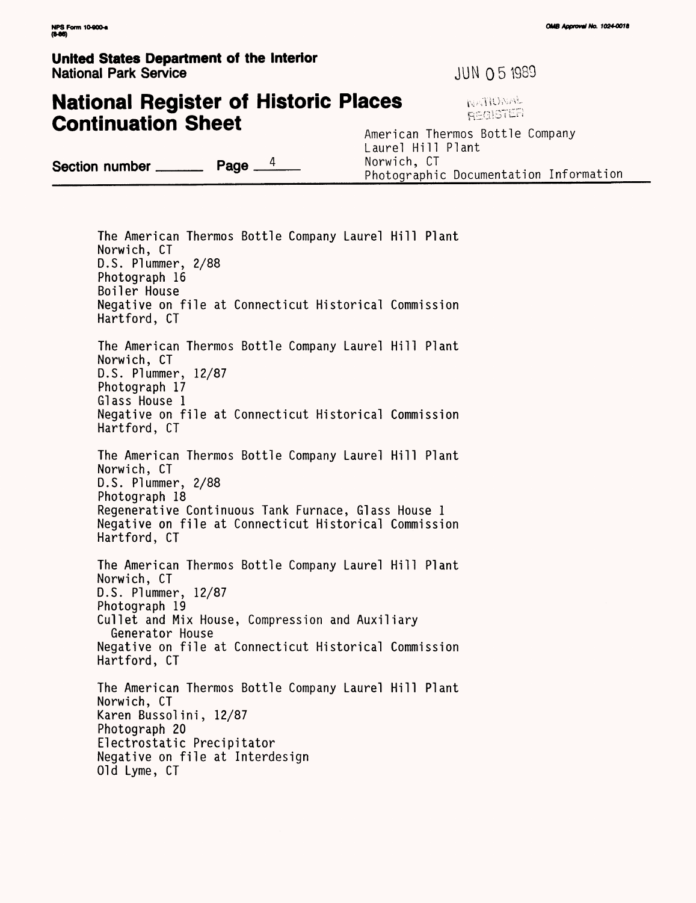#### **United States Department of the Interior National Park Service All and Service Contract Service JUN Q 5 1989**

**National Register of Historic Places**

## **MACITE**

**Continuation Sheet** American Thermos Bottle Company Laurel Hill Plant<br>Norwich, CT **Section number \_\_\_\_\_\_\_ Page**  $\frac{4}{\sqrt{2}}$  Photographic Documentation Information

The American Thermos Bottle Company Laurel Hill Plant Norwich, CT D.S. Plummer, 2/88 Photograph 16 Boiler House Negative on file at Connecticut Historical Commission Hartford, CT The American Thermos Bottle Company Laurel Hill Plant Norwich, CT D.S. Plummer, 12/87 Photograph 17 Glass House 1 Negative on file at Connecticut Historical Commission Hartford, CT The American Thermos Bottle Company Laurel Hill Plant Norwich, CT D.S. Plummer, 2/88 Photograph 18 Regenerative Continuous Tank Furnace, Glass House 1 Negative on file at Connecticut Historical Commission Hartford, CT The American Thermos Bottle Company Laurel Hill Plant Norwich, CT D.S. Plummer, 12/87 Photograph 19 Gullet and Mix House, Compression and Auxiliary Generator House Negative on file at Connecticut Historical Commission Hartford, CT The American Thermos Bottle Company Laurel Hill Plant Norwich, CT Karen Bussolini, 12/87 Photograph 20 Electrostatic Precipitator Negative on file at Interdesign Old Lyme, CT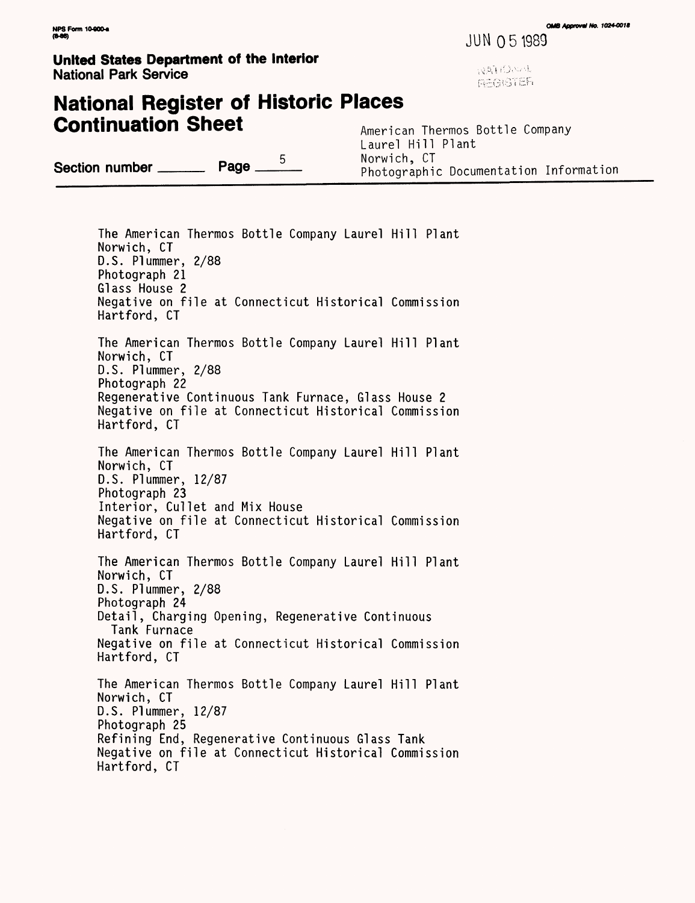**NPS Form 10-800-a CAMB** *Approval No. 1024-0018*<br>NPS Form 10-800-a

JUNO 5 1989

**United States Department of the Interior National Park Service** : -) and the service of the service of the service of the service of the service of the service of the service of the service of the service of the service of the service of the service of the servi

## **National Register of Historic Places Continuation Sheet** American Thermos Bottle Company

Section number  $\frac{5}{2}$  Page  $\frac{5}{2}$ 

Laurel Hill Plant<br>Norwich, CT Photographic Documentation Information

The American Thermos Bottle Company Laurel Hill Plant Norwich, CT D.S. Plummer, 2/88 Photograph 21 Glass House 2 Negative on file at Connecticut Historical Commission Hartford, CT The American Thermos Bottle Company Laurel Hill Plant Norwich, CT D.S. Plummer, 2/88 Photograph 22 Regenerative Continuous Tank Furnace, Glass House 2 Negative on file at Connecticut Historical Commission Hartford, CT The American Thermos Bottle Company Laurel Hill Plant Norwich, CT D.S. Plummer, 12/87 Photograph 23 Interior, Cullet and Mix House Negative on file at Connecticut Historical Commission Hartford, CT The American Thermos Bottle Company Laurel Hill Plant Norwich, CT D.S. Plummer, 2/88 Photograph 24 Detail, Charging Opening, Regenerative Continuous Tank Furnace Negative on file at Connecticut Historical Commission Hartford, CT The American Thermos Bottle Company Laurel Hill Plant Norwich, CT D.S. Plummer, 12/87 Photograph 25 Refining End, Regenerative Continuous Glass Tank Negative on file at Connecticut Historical Commission Hartford, CT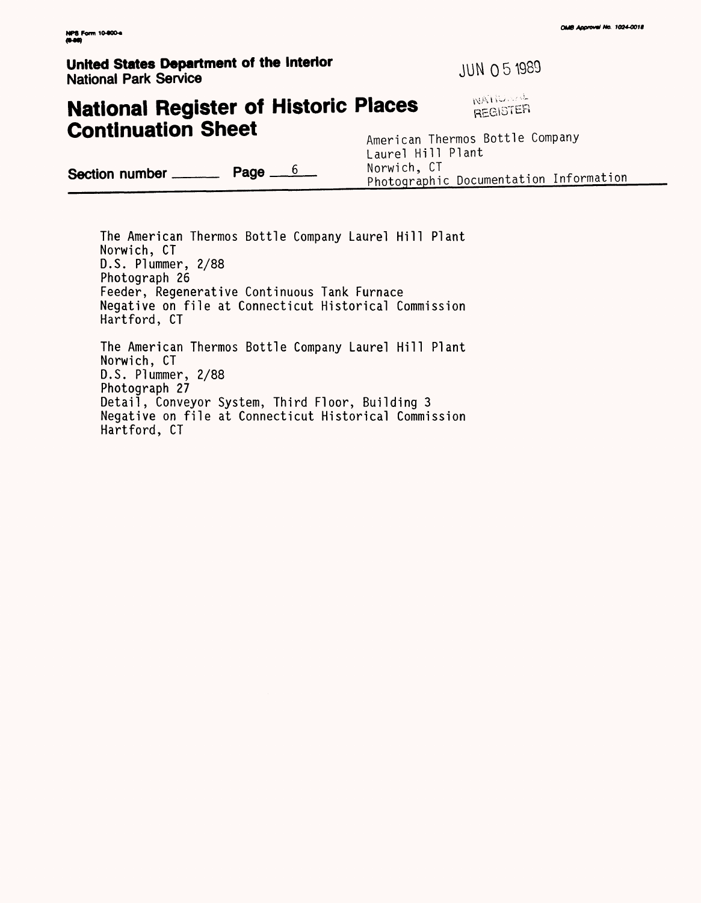#### **United States Department of the Interior CONSIDER 1989 National Park Service**

## **National Register of Historic Places** *BEGISTER* **Continuation Sheet** American Thermos Bottle Company

Laurel Hill Plant **Section number** <u>**Page** 6</u> **Page Page Page P**hotographic Documentation Information

The American Thermos Bottle Company Laurel Hill Plant Norwich, CT D.S. Plummer, 2/88 Photograph 26 Feeder, Regenerative Continuous Tank Furnace Negative on file at Connecticut Historical Commission Hartford, CT The American Thermos Bottle Company Laurel Hill Plant Norwich, CT D.S. Plummer, 2/88 Photograph 27 Detail, Conveyor System, Third Floor, Building 3 Negative on file at Connecticut Historical Commission Hartford, CT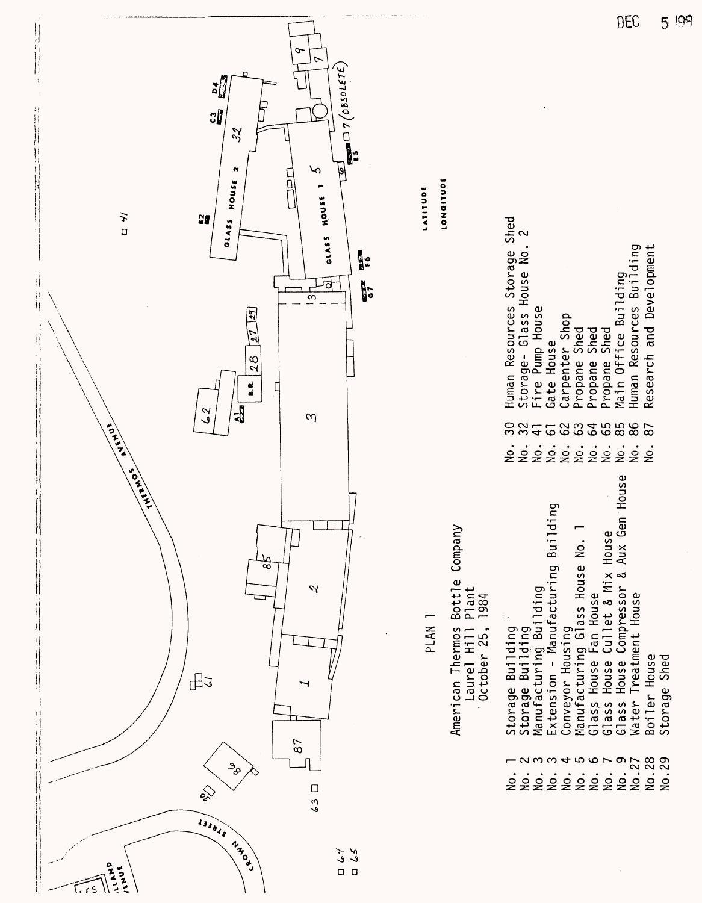